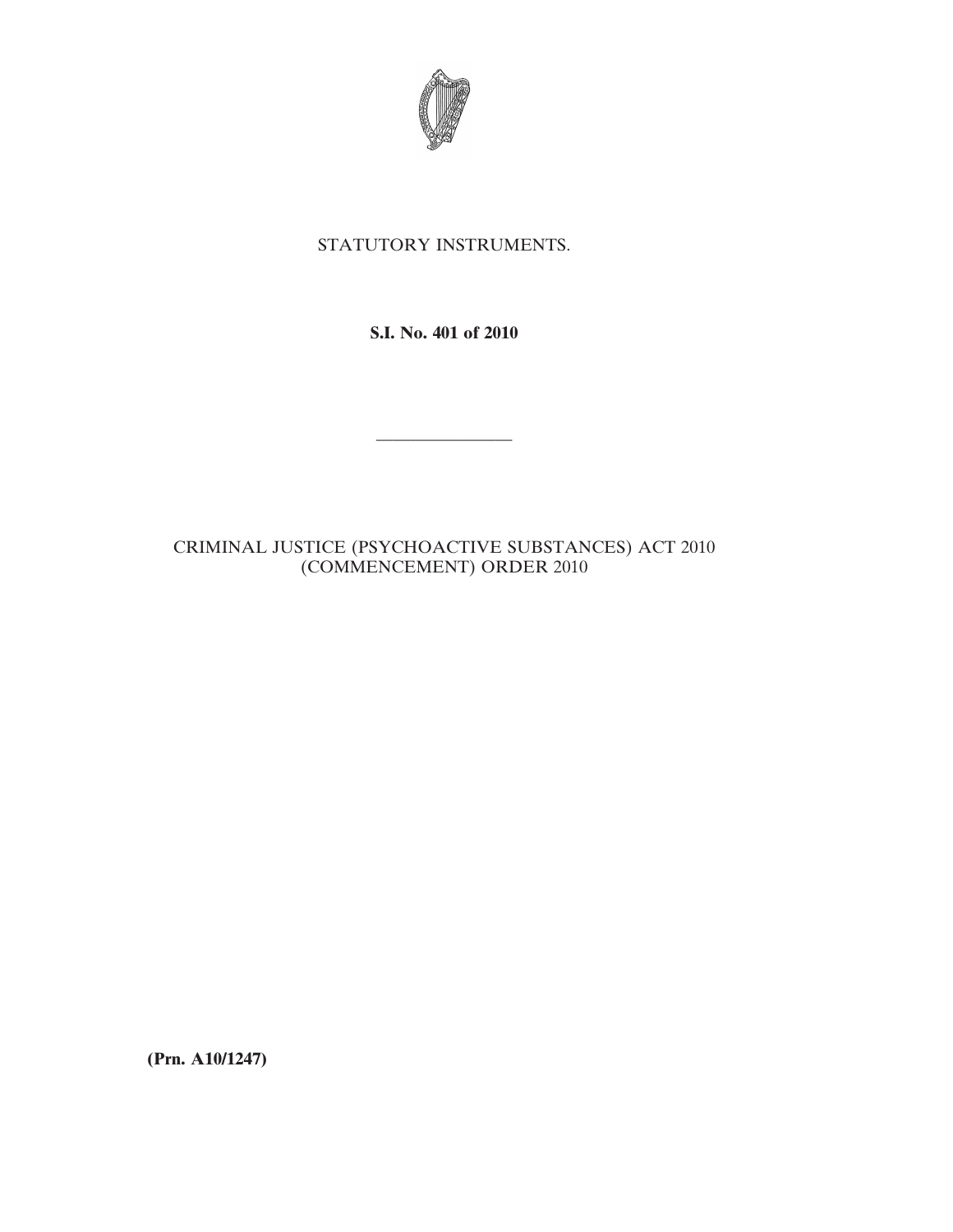

# STATUTORY INSTRUMENTS.

**S.I. No. 401 of 2010**

————————

# CRIMINAL JUSTICE (PSYCHOACTIVE SUBSTANCES) ACT 2010 (COMMENCEMENT) ORDER 2010

**(Prn. A10/1247)**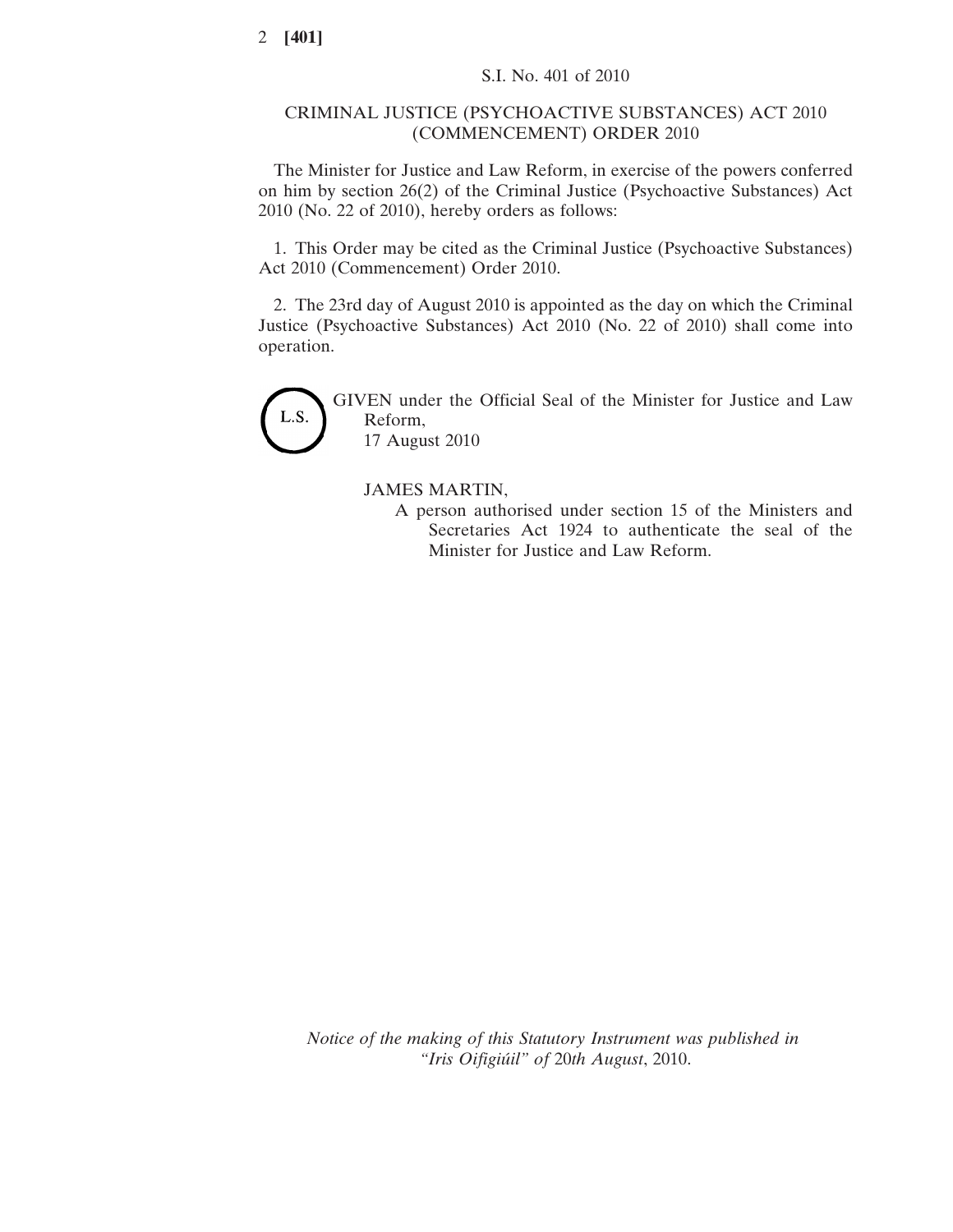## CRIMINAL JUSTICE (PSYCHOACTIVE SUBSTANCES) ACT 2010 (COMMENCEMENT) ORDER 2010

The Minister for Justice and Law Reform, in exercise of the powers conferred on him by section 26(2) of the Criminal Justice (Psychoactive Substances) Act 2010 (No. 22 of 2010), hereby orders as follows:

1. This Order may be cited as the Criminal Justice (Psychoactive Substances) Act 2010 (Commencement) Order 2010.

2. The 23rd day of August 2010 is appointed as the day on which the Criminal Justice (Psychoactive Substances) Act 2010 (No. 22 of 2010) shall come into operation.



GIVEN under the Official Seal of the Minister for Justice and Law Reform, 17 August 2010

## JAMES MARTIN,

A person authorised under section 15 of the Ministers and Secretaries Act 1924 to authenticate the seal of the Minister for Justice and Law Reform.

*Notice of the making of this Statutory Instrument was published in "Iris Oifigiúil" of* 20*th August*, 2010.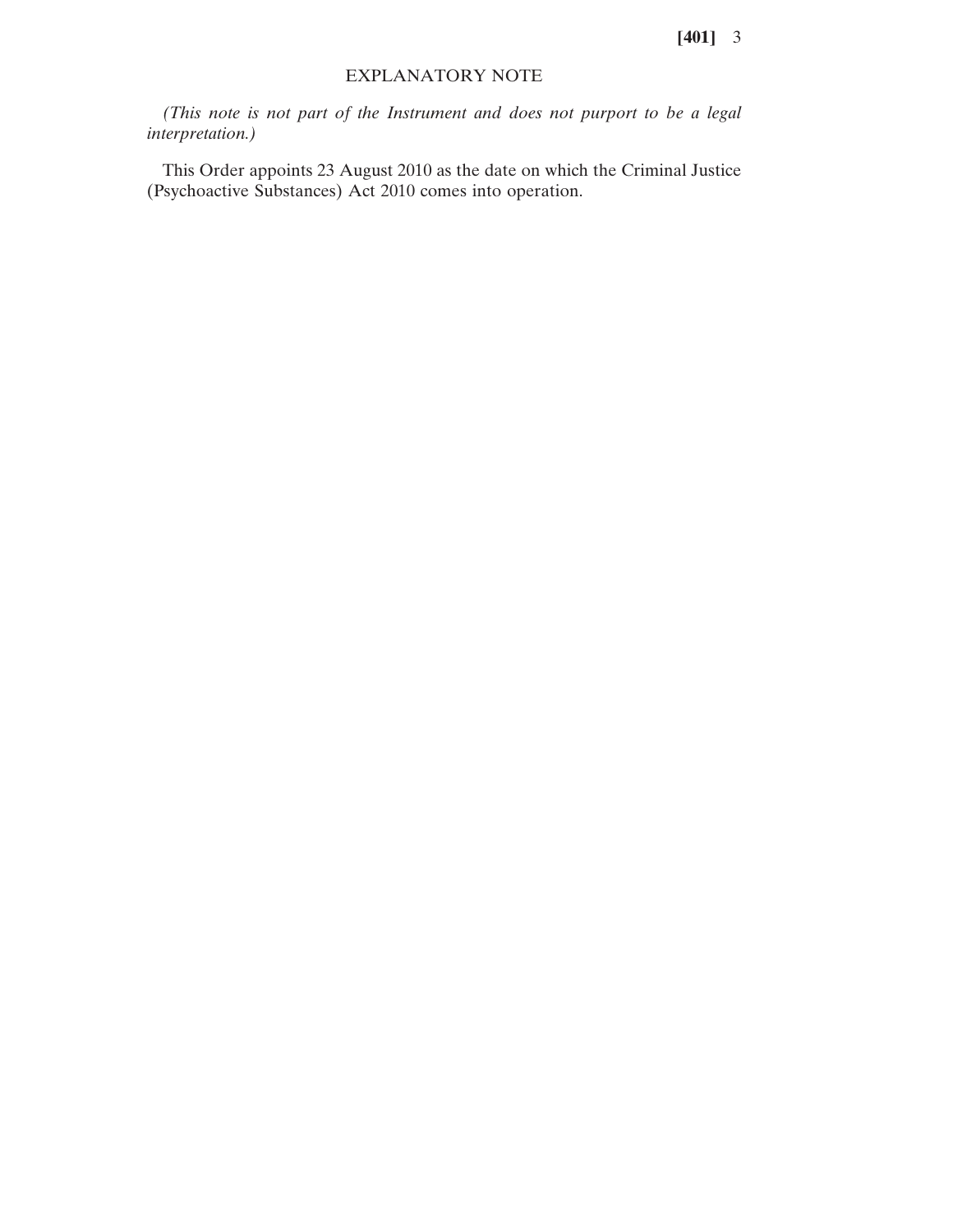**[401]** 3

## EXPLANATORY NOTE

*(This note is not part of the Instrument and does not purport to be a legal interpretation.)*

This Order appoints 23 August 2010 as the date on which the Criminal Justice (Psychoactive Substances) Act 2010 comes into operation.